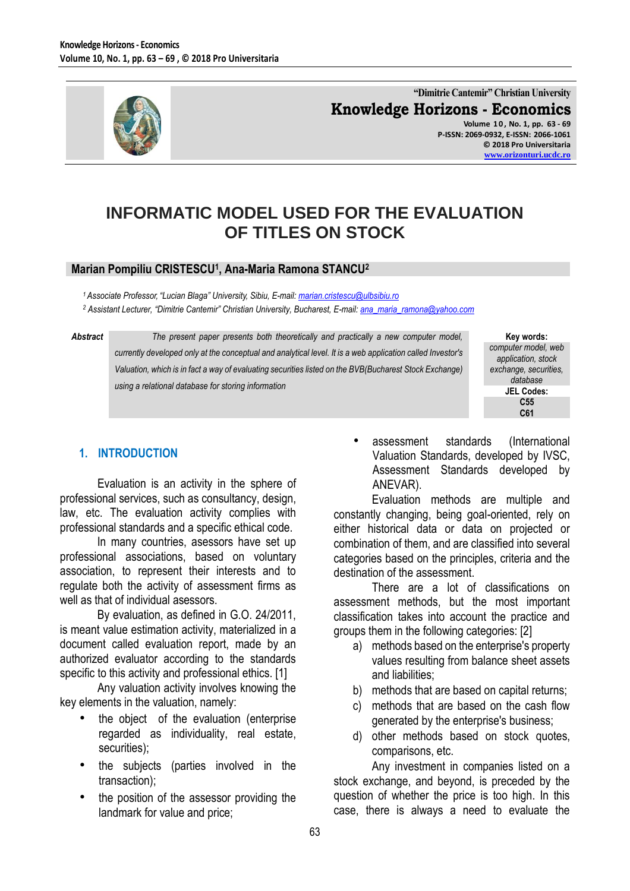

**"Dimitrie Cantemir" Christian University Knowledge Horizons - Economics Volume 1 0 , No. 1, pp. 63 - 69**

**P-ISSN: 2069-0932, E-ISSN: 2066-1061 © 2018 Pro Universitaria [www.orizonturi.ucdc.ro](http://www.orizonturi.ucdc.ro/)**

# **INFORMATIC MODEL USED FOR THE EVALUATION OF TITLES ON STOCK**

#### **Marian Pompiliu CRISTESCU<sup>1</sup> , Ana-Maria Ramona STANCU<sup>2</sup>**

*<sup>1</sup> Associate Professor, "Lucian Blaga" University, Sibiu, E-mail: [marian.cristescu@ulbsibiu.ro](mailto:marian.cristescu@ulbsibiu.ro) <sup>2</sup> Assistant Lecturer, "Dimitrie Cantemir" Christian University, Bucharest, E-mail[: ana\\_maria\\_ramona@yahoo.com](mailto:ana_maria_ramona@yahoo.com)*

Abstract **The present paper presents both theoretically and practically a new computer model,** *currently developed only at the conceptual and analytical level. It is a web application called Investor's Valuation, which is in fact a way of evaluating securities listed on the BVB(Bucharest Stock Exchange) using a relational database for storing information*



# **1. INTRODUCTION**

Evaluation is an activity in the sphere of professional services, such as consultancy, design, law, etc. The evaluation activity complies with professional standards and a specific ethical code.

In many countries, asessors have set up professional associations, based on voluntary association, to represent their interests and to regulate both the activity of assessment firms as well as that of individual asessors.

By evaluation, as defined in G.O. 24/2011, is meant value estimation activity, materialized in a document called evaluation report, made by an authorized evaluator according to the standards specific to this activity and professional ethics. [1]

Any valuation activity involves knowing the key elements in the valuation, namely:

- the object of the evaluation (enterprise regarded as individuality, real estate, securities);
- the subjects (parties involved in the transaction);
- the position of the assessor providing the landmark for value and price;

• assessment standards (International Valuation Standards, developed by IVSC, Assessment Standards developed by ANEVAR).

Evaluation methods are multiple and constantly changing, being goal-oriented, rely on either historical data or data on projected or combination of them, and are classified into several categories based on the principles, criteria and the destination of the assessment.

There are a lot of classifications on assessment methods, but the most important classification takes into account the practice and groups them in the following categories: [2]

- a) methods based on the enterprise's property values resulting from balance sheet assets and liabilities;
- b) methods that are based on capital returns;
- c) methods that are based on the cash flow generated by the enterprise's business;
- d) other methods based on stock quotes, comparisons, etc.

Any investment in companies listed on a stock exchange, and beyond, is preceded by the question of whether the price is too high. In this case, there is always a need to evaluate the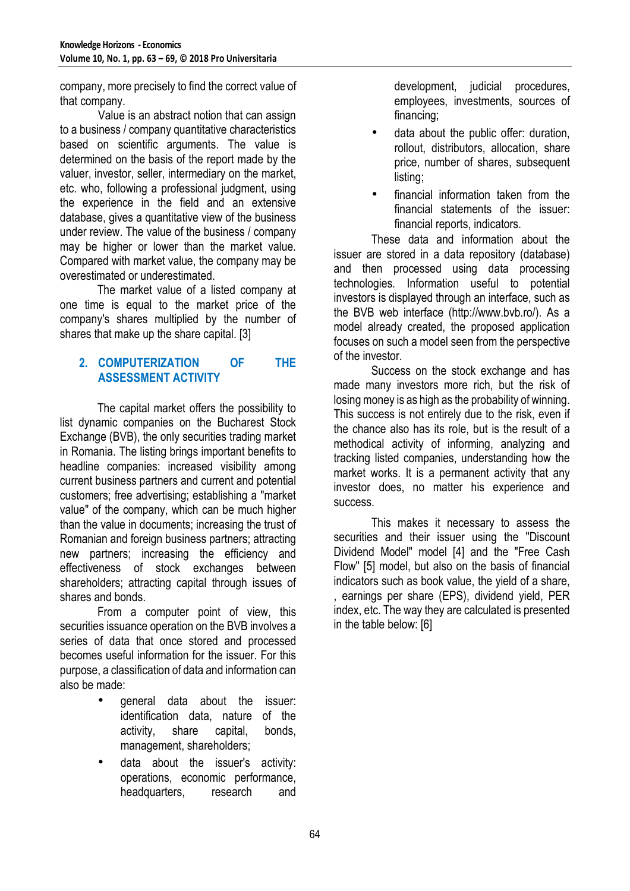company, more precisely to find the correct value of that company.

Value is an abstract notion that can assign to a business / company quantitative characteristics based on scientific arguments. The value is determined on the basis of the report made by the valuer, investor, seller, intermediary on the market, etc. who, following a professional judgment, using the experience in the field and an extensive database, gives a quantitative view of the business under review. The value of the business / company may be higher or lower than the market value. Compared with market value, the company may be overestimated or underestimated.

The market value of a listed company at one time is equal to the market price of the company's shares multiplied by the number of shares that make up the share capital. [3]

# **2. COMPUTERIZATION OF THE ASSESSMENT ACTIVITY**

The capital market offers the possibility to list dynamic companies on the Bucharest Stock Exchange (BVB), the only securities trading market in Romania. The listing brings important benefits to headline companies: increased visibility among current business partners and current and potential customers; free advertising; establishing a "market value" of the company, which can be much higher than the value in documents; increasing the trust of Romanian and foreign business partners; attracting new partners; increasing the efficiency and effectiveness of stock exchanges between shareholders; attracting capital through issues of shares and bonds.

From a computer point of view, this securities issuance operation on the BVB involves a series of data that once stored and processed becomes useful information for the issuer. For this purpose, a classification of data and information can also be made:

- general data about the issuer: identification data, nature of the activity, share capital, bonds, management, shareholders;
- data about the issuer's activity: operations, economic performance, headquarters, research and

development, judicial procedures, employees, investments, sources of financing;

- data about the public offer: duration, rollout, distributors, allocation, share price, number of shares, subsequent listing;
- financial information taken from the financial statements of the issuer: financial reports, indicators.

These data and information about the issuer are stored in a data repository (database) and then processed using data processing technologies. Information useful to potential investors is displayed through an interface, such as the BVB web interface (http://www.bvb.ro/). As a model already created, the proposed application focuses on such a model seen from the perspective of the investor.

Success on the stock exchange and has made many investors more rich, but the risk of losing money is as high as the probability of winning. This success is not entirely due to the risk, even if the chance also has its role, but is the result of a methodical activity of informing, analyzing and tracking listed companies, understanding how the market works. It is a permanent activity that any investor does, no matter his experience and success.

This makes it necessary to assess the securities and their issuer using the "Discount Dividend Model" model [4] and the "Free Cash Flow" [5] model, but also on the basis of financial indicators such as book value, the yield of a share, , earnings per share (EPS), dividend yield, PER index, etc. The way they are calculated is presented in the table below: [6]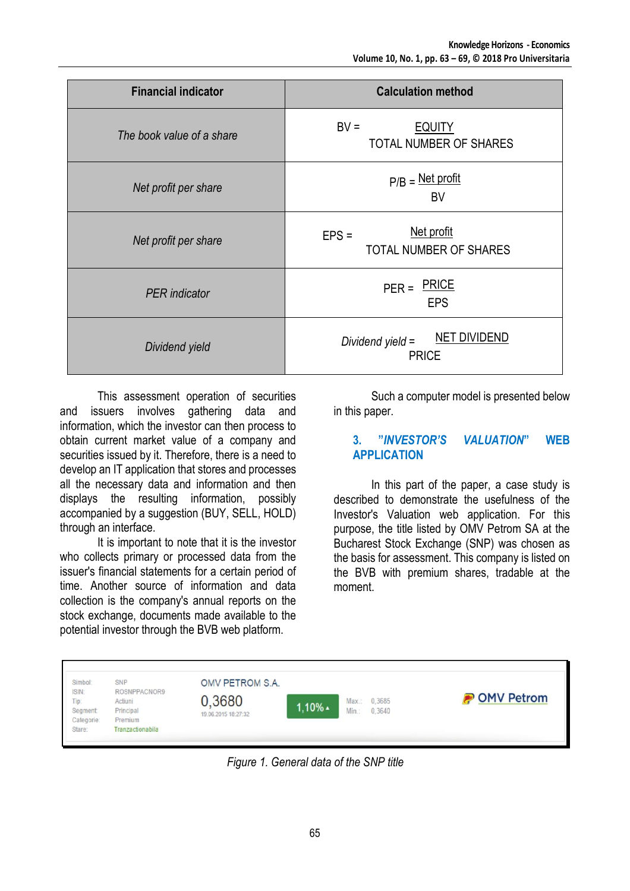| <b>Financial indicator</b> | <b>Calculation method</b>                                |  |  |  |
|----------------------------|----------------------------------------------------------|--|--|--|
| The book value of a share  | $BV =$<br><b>EQUITY</b><br><b>TOTAL NUMBER OF SHARES</b> |  |  |  |
| Net profit per share       | $P/B = Net profit$<br><b>BV</b>                          |  |  |  |
| Net profit per share       | Net profit<br>$EPS =$<br>TOTAL NUMBER OF SHARES          |  |  |  |
| <b>PER</b> indicator       | <b>PRICE</b><br>$PER =$<br><b>EPS</b>                    |  |  |  |
| Dividend yield             | <b>NET DIVIDEND</b><br>Dividend yield =<br><b>PRICE</b>  |  |  |  |

This assessment operation of securities and issuers involves gathering data and information, which the investor can then process to obtain current market value of a company and securities issued by it. Therefore, there is a need to develop an IT application that stores and processes all the necessary data and information and then displays the resulting information, possibly accompanied by a suggestion (BUY, SELL, HOLD) through an interface.

It is important to note that it is the investor who collects primary or processed data from the issuer's financial statements for a certain period of time. Another source of information and data collection is the company's annual reports on the stock exchange, documents made available to the potential investor through the BVB web platform.

Such a computer model is presented below in this paper.

### **3. "***INVESTOR'S VALUATION***" WEB APPLICATION**

In this part of the paper, a case study is described to demonstrate the usefulness of the Investor's Valuation web application. For this purpose, the title listed by OMV Petrom SA at the Bucharest Stock Exchange (SNP) was chosen as the basis for assessment. This company is listed on the BVB with premium shares, tradable at the moment.

| Simbol:<br>ISIN:<br>Tip:<br>Segment<br>Categorie:<br>Stare: | SNP<br>ROSNPPACNOR9<br>Actiuni<br>Principal<br>Premium<br>Tranzactionabila | OMV PETROM S.A.<br>0,3680<br>19.06.2015 18:27:32 | $1.10\%$ $\triangle$ | Min.: | Max.: 0.3685<br>0.3640 | <b>POMV Petrom</b> |
|-------------------------------------------------------------|----------------------------------------------------------------------------|--------------------------------------------------|----------------------|-------|------------------------|--------------------|
|-------------------------------------------------------------|----------------------------------------------------------------------------|--------------------------------------------------|----------------------|-------|------------------------|--------------------|

*Figure 1. General data of the SNP title*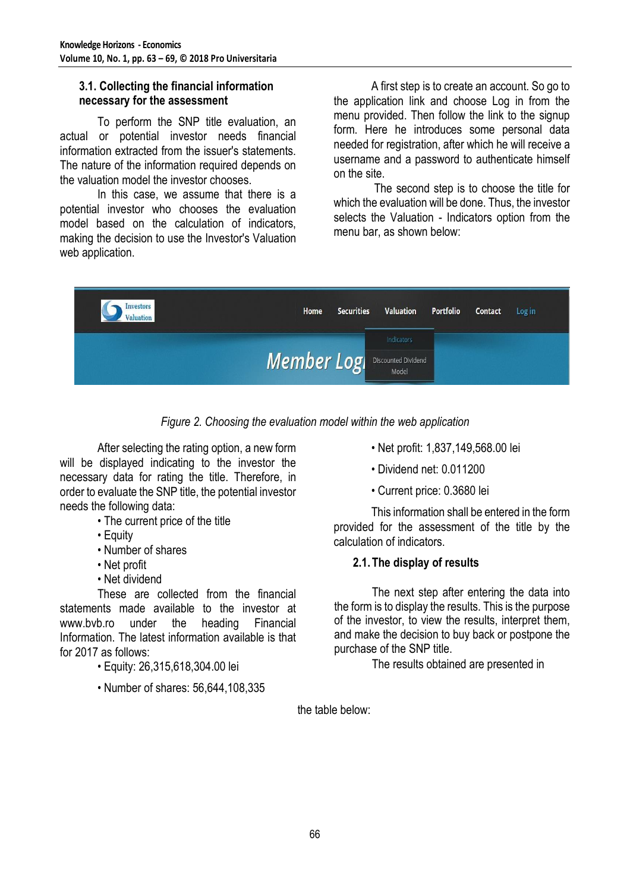#### **3.1. Collecting the financial information necessary for the assessment**

To perform the SNP title evaluation, an actual or potential investor needs financial information extracted from the issuer's statements. The nature of the information required depends on the valuation model the investor chooses.

In this case, we assume that there is a potential investor who chooses the evaluation model based on the calculation of indicators, making the decision to use the Investor's Valuation web application.

A first step is to create an account. So go to the application link and choose Log in from the menu provided. Then follow the link to the signup form. Here he introduces some personal data needed for registration, after which he will receive a username and a password to authenticate himself on the site.

The second step is to choose the title for which the evaluation will be done. Thus, the investor selects the Valuation - Indicators option from the menu bar, as shown below:



*Figure 2. Choosing the evaluation model within the web application*

After selecting the rating option, a new form will be displayed indicating to the investor the necessary data for rating the title. Therefore, in order to evaluate the SNP title, the potential investor needs the following data:

- The current price of the title
- Equity
- Number of shares
- Net profit
- Net dividend

These are collected from the financial statements made available to the investor at www.bvb.ro under the heading Financial Information. The latest information available is that for 2017 as follows:

- Equity: 26,315,618,304.00 lei
- Number of shares: 56,644,108,335
- Net profit: 1,837,149,568.00 lei
- Dividend net: 0.011200
- Current price: 0.3680 lei

This information shall be entered in the form provided for the assessment of the title by the calculation of indicators.

# **2.1.The display of results**

The next step after entering the data into the form is to display the results. This is the purpose of the investor, to view the results, interpret them, and make the decision to buy back or postpone the purchase of the SNP title.

The results obtained are presented in

the table below: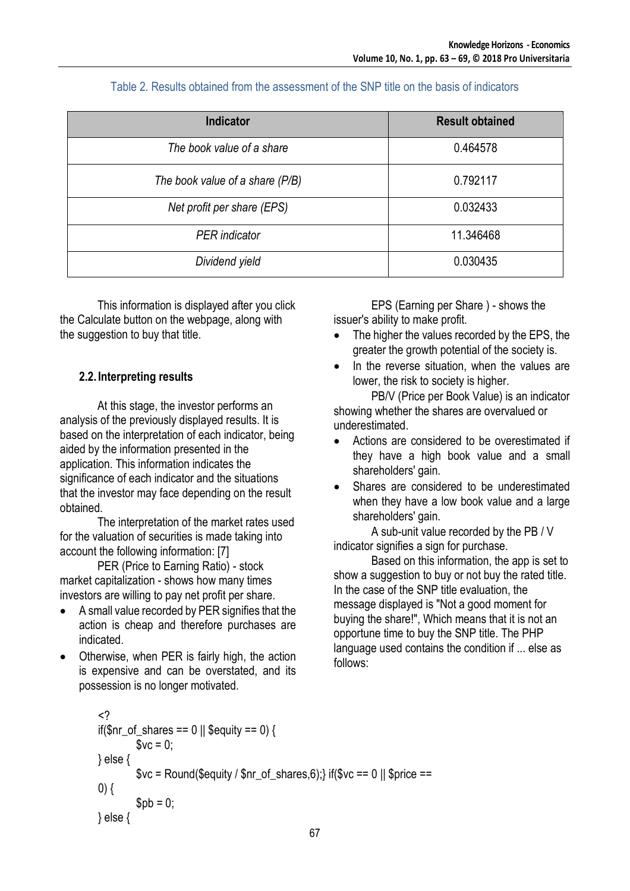| <b>Indicator</b>                | <b>Result obtained</b> |
|---------------------------------|------------------------|
| The book value of a share       | 0.464578               |
| The book value of a share (P/B) | 0.792117               |
| Net profit per share (EPS)      | 0.032433               |
| <b>PER</b> indicator            | 11.346468              |
| Dividend yield                  | 0.030435               |

# Table 2. Results obtained from the assessment of the SNP title on the basis of indicators

This information is displayed after you click the Calculate button on the webpage, along with the suggestion to buy that title.

# **2.2. Interpreting results**

At this stage, the investor performs an analysis of the previously displayed results. It is based on the interpretation of each indicator, being aided by the information presented in the application. This information indicates the significance of each indicator and the situations that the investor may face depending on the result obtained.

The interpretation of the market rates used for the valuation of securities is made taking into account the following information: [7]

PER (Price to Earning Ratio) - stock market capitalization - shows how many times investors are willing to pay net profit per share.

- A small value recorded by PER signifies that the action is cheap and therefore purchases are indicated.
- Otherwise, when PER is fairly high, the action is expensive and can be overstated, and its possession is no longer motivated.

```
<? 
if($nr_of_shares == 0 || $equity == 0) {
           $vc = 0;} else { 
           \text{Syc} = \text{Round}(\text{Sequity} / \text{snr of shares}, 6); if(\text{Svc} == 0 || \text{Sprice} ==0) {
           $pb = 0;} else {
```
EPS (Earning per Share ) - shows the issuer's ability to make profit.

- The higher the values recorded by the EPS, the greater the growth potential of the society is.
- In the reverse situation, when the values are lower, the risk to society is higher.

PB/V (Price per Book Value) is an indicator showing whether the shares are overvalued or underestimated.

- Actions are considered to be overestimated if they have a high book value and a small shareholders' gain.
- Shares are considered to be underestimated when they have a low book value and a large shareholders' gain.

A sub-unit value recorded by the PB / V indicator signifies a sign for purchase.

Based on this information, the app is set to show a suggestion to buy or not buy the rated title. In the case of the SNP title evaluation, the message displayed is "Not a good moment for buying the share!", Which means that it is not an opportune time to buy the SNP title. The PHP language used contains the condition if ... else as follows: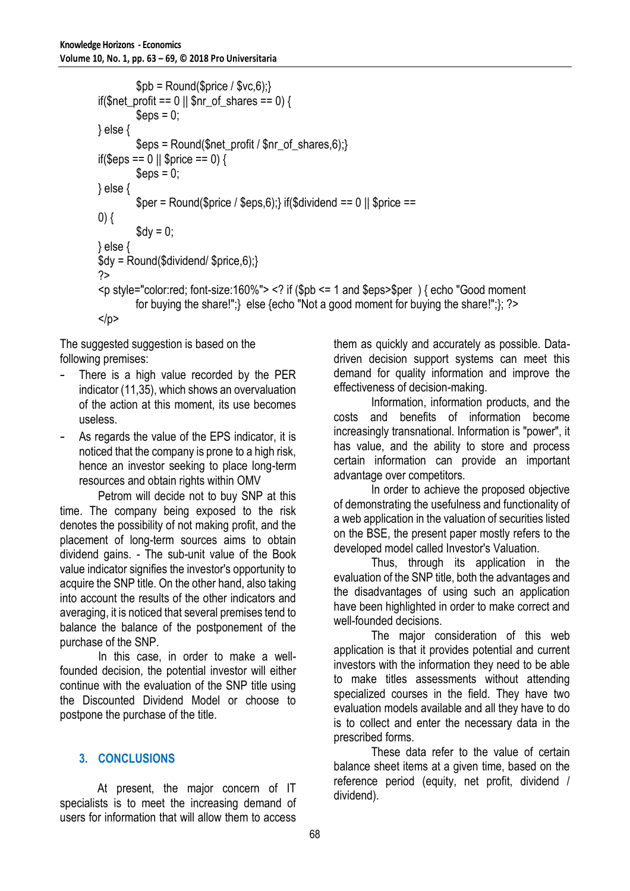```
$pb = Round($price / $vc, 6);if($net_profit == 0 \parallel $nr_of_shares == 0) {
         \text{Sens} = 0:
} else { 
         \text{Spps} = \text{Round}(\text{Snet\_profit}/\text{Snr\_of\_shares}, 6);if($eps == 0 || $price == 0) {
         \epsilon = 0;
} else { 
         $per = Round($price / $eps, 6);} if($dividend == 0 || $price ==
0) {
         \text{Sdy} = 0;
} else { 
\daggerdy = Round(\ddaggerdividend/\ddaggerprice,\ddagger);}
?> 
<p style="color:red; font-size:160%"> <? if ($pb <= 1 and $eps>$per ) { echo "Good moment 
         for buying the share!";} else {echo "Not a good moment for buying the share!";}; ?> 
</p>
```
The suggested suggestion is based on the following premises:

- There is a high value recorded by the PER indicator (11,35), which shows an overvaluation of the action at this moment, its use becomes useless.
- As regards the value of the EPS indicator, it is noticed that the company is prone to a high risk, hence an investor seeking to place long-term resources and obtain rights within OMV

Petrom will decide not to buy SNP at this time. The company being exposed to the risk denotes the possibility of not making profit, and the placement of long-term sources aims to obtain dividend gains. - The sub-unit value of the Book value indicator signifies the investor's opportunity to acquire the SNP title. On the other hand, also taking into account the results of the other indicators and averaging, it is noticed that several premises tend to balance the balance of the postponement of the purchase of the SNP.

In this case, in order to make a wellfounded decision, the potential investor will either continue with the evaluation of the SNP title using the Discounted Dividend Model or choose to postpone the purchase of the title.

# **3. CONCLUSIONS**

At present, the major concern of IT specialists is to meet the increasing demand of users for information that will allow them to access

them as quickly and accurately as possible. Datadriven decision support systems can meet this demand for quality information and improve the effectiveness of decision-making.

Information, information products, and the costs and benefits of information become increasingly transnational. Information is "power", it has value, and the ability to store and process certain information can provide an important advantage over competitors.

In order to achieve the proposed objective of demonstrating the usefulness and functionality of a web application in the valuation of securities listed on the BSE, the present paper mostly refers to the developed model called Investor's Valuation.

Thus, through its application in the evaluation of the SNP title, both the advantages and the disadvantages of using such an application have been highlighted in order to make correct and well-founded decisions.

The major consideration of this web application is that it provides potential and current investors with the information they need to be able to make titles assessments without attending specialized courses in the field. They have two evaluation models available and all they have to do is to collect and enter the necessary data in the prescribed forms.

These data refer to the value of certain balance sheet items at a given time, based on the reference period (equity, net profit, dividend / dividend).